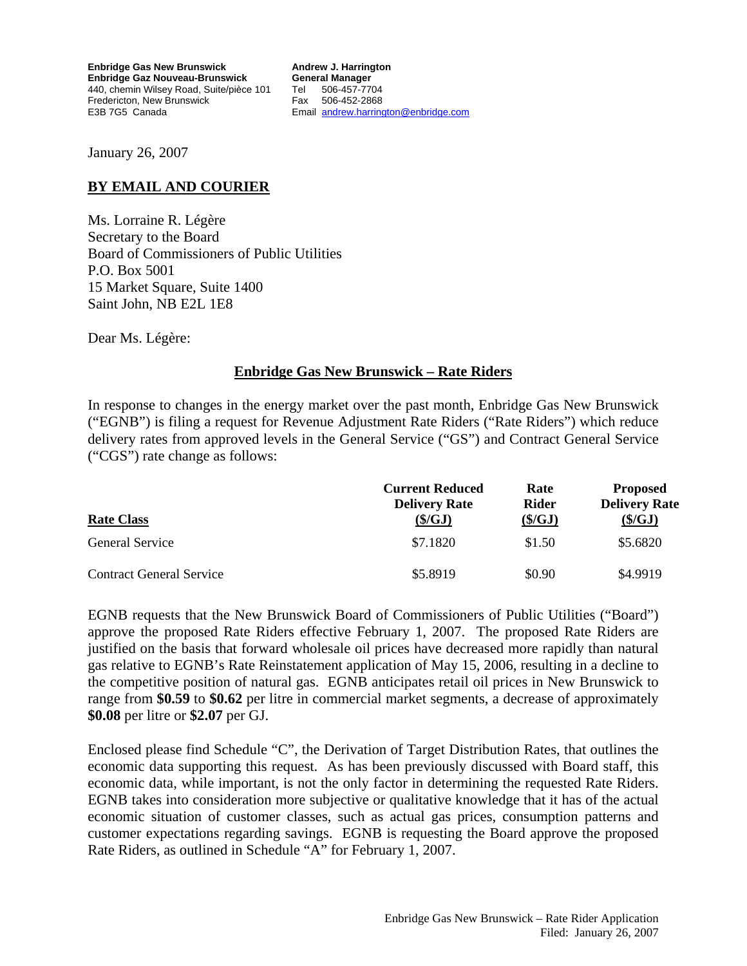**Enbridge Gas New Brunswick Enbridge Gaz Nouveau-Brunswick**  440, chemin Wilsey Road, Suite/pièce 101 Fredericton, New Brunswick E3B 7G5 Canada

**Andrew J. Harrington General Manager**  Tel 506-457-7704 Fax 506-452-2868 Email [andrew.harrington@enbridge.com](mailto:andrew.harrington@enbridge.com)

January 26, 2007

## **BY EMAIL AND COURIER**

Ms. Lorraine R. Légère Secretary to the Board Board of Commissioners of Public Utilities P.O. Box 5001 15 Market Square, Suite 1400 Saint John, NB E2L 1E8

Dear Ms. Légère:

### **Enbridge Gas New Brunswick – Rate Riders**

In response to changes in the energy market over the past month, Enbridge Gas New Brunswick ("EGNB") is filing a request for Revenue Adjustment Rate Riders ("Rate Riders") which reduce delivery rates from approved levels in the General Service ("GS") and Contract General Service ("CGS") rate change as follows:

|                                 | <b>Current Reduced</b><br><b>Delivery Rate</b> | Rate<br><b>Rider</b> | <b>Proposed</b><br><b>Delivery Rate</b> |
|---------------------------------|------------------------------------------------|----------------------|-----------------------------------------|
| <b>Rate Class</b>               | $(\frac{S}{GI})$                               | $(\frac{\xi}{G}J)$   | $(\frac{\xi}{G}J)$                      |
| <b>General Service</b>          | \$7.1820                                       | \$1.50               | \$5.6820                                |
| <b>Contract General Service</b> | \$5.8919                                       | \$0.90               | \$4.9919                                |

EGNB requests that the New Brunswick Board of Commissioners of Public Utilities ("Board") approve the proposed Rate Riders effective February 1, 2007. The proposed Rate Riders are justified on the basis that forward wholesale oil prices have decreased more rapidly than natural gas relative to EGNB's Rate Reinstatement application of May 15, 2006, resulting in a decline to the competitive position of natural gas. EGNB anticipates retail oil prices in New Brunswick to range from **\$0.59** to **\$0.62** per litre in commercial market segments, a decrease of approximately **\$0.08** per litre or **\$2.07** per GJ.

Enclosed please find Schedule "C", the Derivation of Target Distribution Rates, that outlines the economic data supporting this request. As has been previously discussed with Board staff, this economic data, while important, is not the only factor in determining the requested Rate Riders. EGNB takes into consideration more subjective or qualitative knowledge that it has of the actual economic situation of customer classes, such as actual gas prices, consumption patterns and customer expectations regarding savings. EGNB is requesting the Board approve the proposed Rate Riders, as outlined in Schedule "A" for February 1, 2007.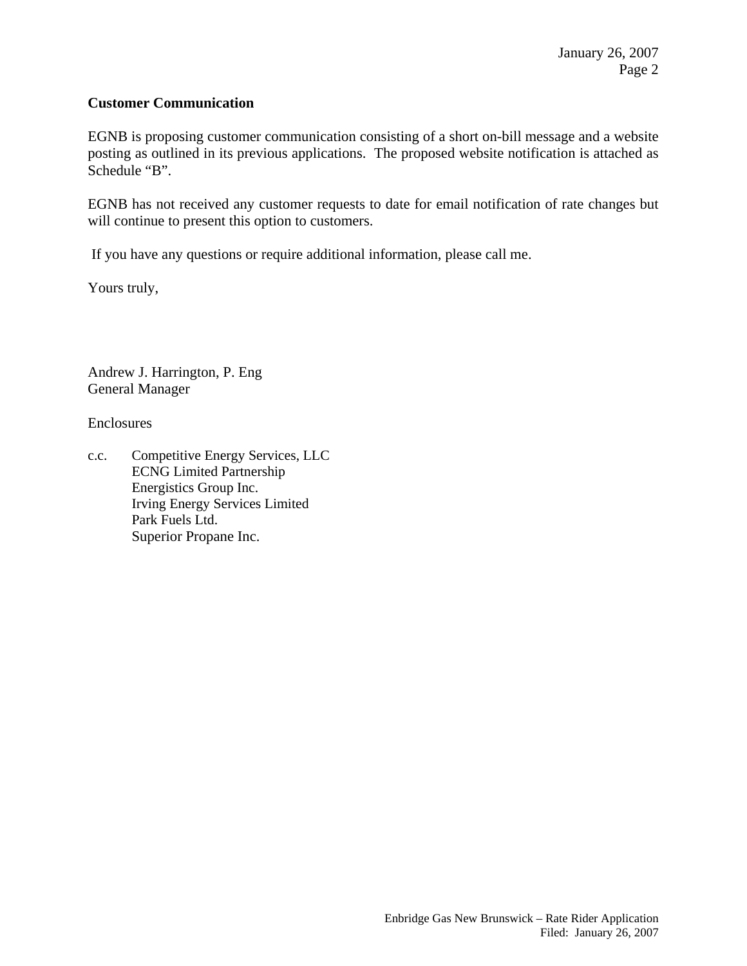### **Customer Communication**

EGNB is proposing customer communication consisting of a short on-bill message and a website posting as outlined in its previous applications. The proposed website notification is attached as Schedule "B".

EGNB has not received any customer requests to date for email notification of rate changes but will continue to present this option to customers.

If you have any questions or require additional information, please call me.

Yours truly,

Andrew J. Harrington, P. Eng General Manager

Enclosures

c.c. Competitive Energy Services, LLC ECNG Limited Partnership Energistics Group Inc. Irving Energy Services Limited Park Fuels Ltd. Superior Propane Inc.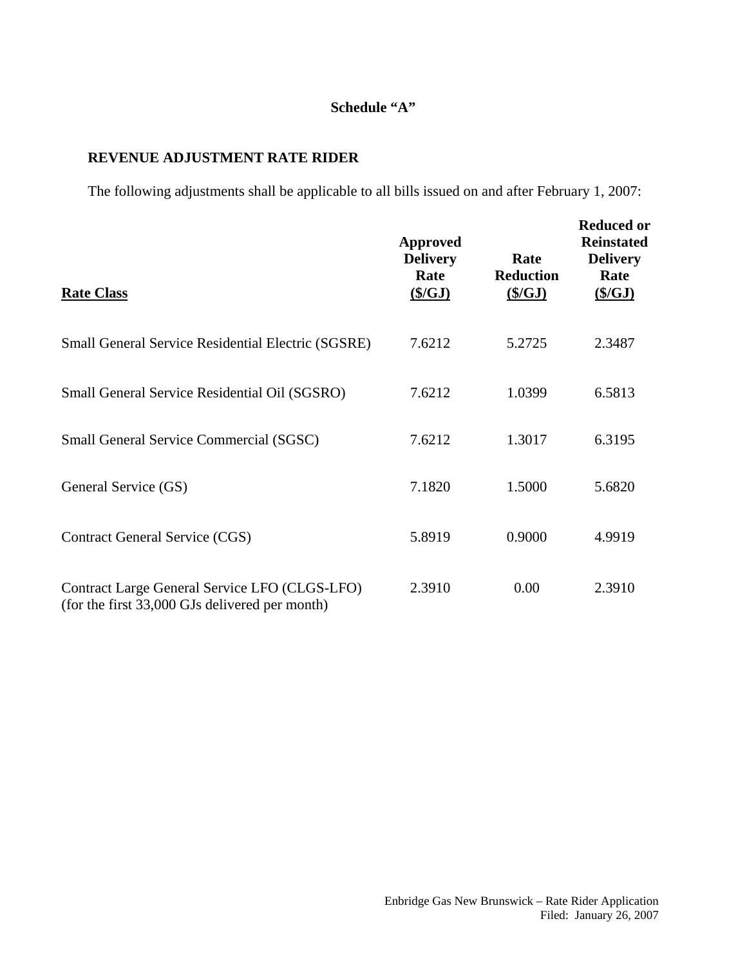## **Schedule "A"**

# **REVENUE ADJUSTMENT RATE RIDER**

The following adjustments shall be applicable to all bills issued on and after February 1, 2007:

| <b>Rate Class</b>                                                                               | <b>Approved</b><br><b>Delivery</b><br>Rate<br>(S/GJ) | Rate<br><b>Reduction</b><br>(S/GJ) | <b>Reduced or</b><br><b>Reinstated</b><br><b>Delivery</b><br>Rate<br>(S/GJ) |
|-------------------------------------------------------------------------------------------------|------------------------------------------------------|------------------------------------|-----------------------------------------------------------------------------|
| <b>Small General Service Residential Electric (SGSRE)</b>                                       | 7.6212                                               | 5.2725                             | 2.3487                                                                      |
| Small General Service Residential Oil (SGSRO)                                                   | 7.6212                                               | 1.0399                             | 6.5813                                                                      |
| <b>Small General Service Commercial (SGSC)</b>                                                  | 7.6212                                               | 1.3017                             | 6.3195                                                                      |
| General Service (GS)                                                                            | 7.1820                                               | 1.5000                             | 5.6820                                                                      |
| <b>Contract General Service (CGS)</b>                                                           | 5.8919                                               | 0.9000                             | 4.9919                                                                      |
| Contract Large General Service LFO (CLGS-LFO)<br>(for the first 33,000 GJs delivered per month) | 2.3910                                               | 0.00                               | 2.3910                                                                      |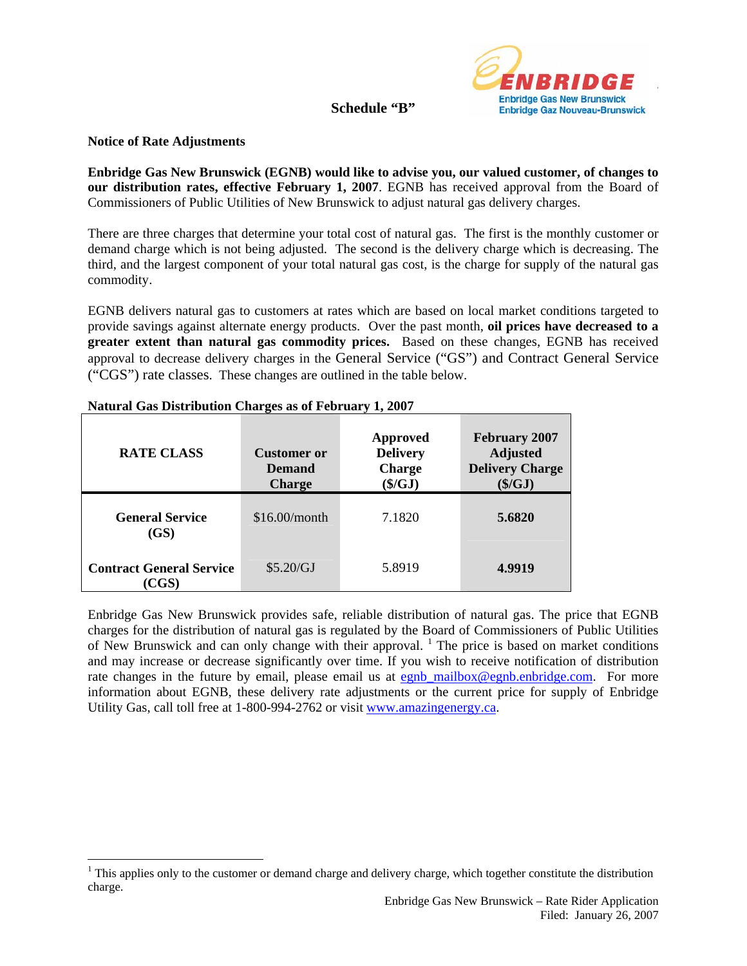

#### **Schedule "B"**

### **Notice of Rate Adjustments**

 $\overline{a}$ 

**Enbridge Gas New Brunswick (EGNB) would like to advise you, our valued customer, of changes to our distribution rates, effective February 1, 2007**. EGNB has received approval from the Board of Commissioners of Public Utilities of New Brunswick to adjust natural gas delivery charges.

There are three charges that determine your total cost of natural gas. The first is the monthly customer or demand charge which is not being adjusted. The second is the delivery charge which is decreasing. The third, and the largest component of your total natural gas cost, is the charge for supply of the natural gas commodity.

EGNB delivers natural gas to customers at rates which are based on local market conditions targeted to provide savings against alternate energy products. Over the past month, **oil prices have decreased to a greater extent than natural gas commodity prices.** Based on these changes, EGNB has received approval to decrease delivery charges in the General Service ("GS") and Contract General Service ("CGS") rate classes. These changes are outlined in the table below.

| <b>RATE CLASS</b>                       | <b>Customer or</b><br><b>Demand</b><br><b>Charge</b> | <b>Approved</b><br><b>Delivery</b><br><b>Charge</b><br>$(\frac{C}{2})$ | <b>February 2007</b><br><b>Adjusted</b><br><b>Delivery Charge</b><br>$(\frac{C}{2})$ |
|-----------------------------------------|------------------------------------------------------|------------------------------------------------------------------------|--------------------------------------------------------------------------------------|
| <b>General Service</b><br>(GS)          | \$16.00/month                                        | 7.1820                                                                 | 5.6820                                                                               |
| <b>Contract General Service</b><br>CGS) | \$5.20/GJ                                            | 5.8919                                                                 | 4.9919                                                                               |

#### **Natural Gas Distribution Charges as of February 1, 2007**

Enbridge Gas New Brunswick provides safe, reliable distribution of natural gas. The price that EGNB charges for the distribution of natural gas is regulated by the Board of Commissioners of Public Utilities of New Brunswick and can only change with their approval. <sup>[1](#page-3-0)</sup> The price is based on market conditions and may increase or decrease significantly over time. If you wish to receive notification of distribution rate changes in the future by email, please email us at [egnb\\_mailbox@egnb.enbridge.com](mailto:egnb_mailbox@egnb.enbridge.com). For more information about EGNB, these delivery rate adjustments or the current price for supply of Enbridge Utility Gas, call toll free at 1-800-994-2762 or visit [www.amazingenergy.ca.](http://www.amazingenergy.ca/)

<span id="page-3-0"></span> $1$  This applies only to the customer or demand charge and delivery charge, which together constitute the distribution charge.